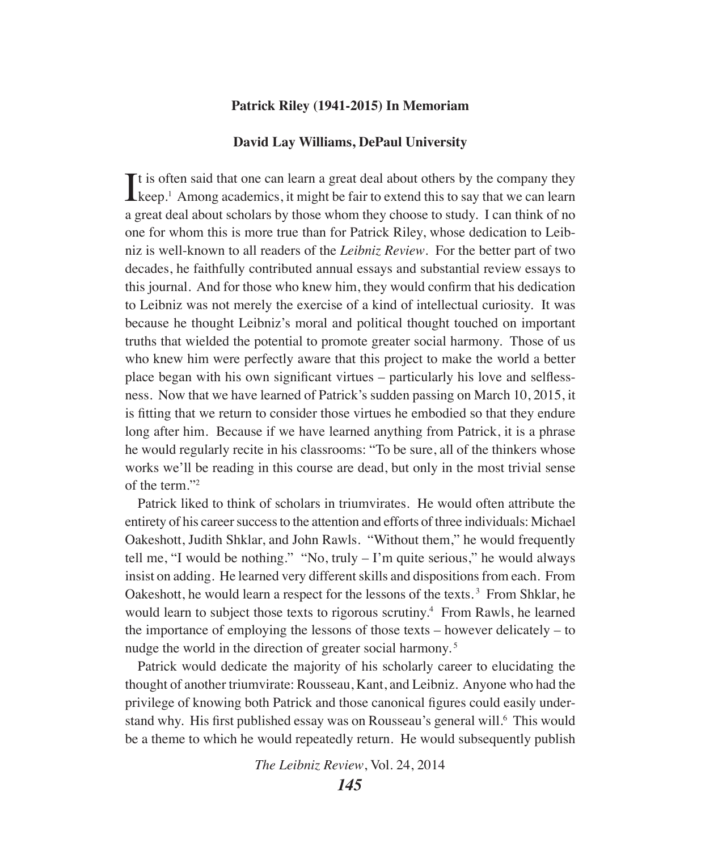#### **Patrick Riley (1941-2015) In Memoriam**

#### **David Lay Williams, DePaul University**

 $\sum$  is often said that one can learn a great deal about others by the company they keep.<sup>1</sup> Among academics, it might be fair to extend this to say that we can learn  $\mathbf{T}$ t is often said that one can learn a great deal about others by the company they a great deal about scholars by those whom they choose to study. I can think of no one for whom this is more true than for Patrick Riley, whose dedication to Leibniz is well-known to all readers of the *Leibniz Review*. For the better part of two decades, he faithfully contributed annual essays and substantial review essays to this journal. And for those who knew him, they would confirm that his dedication to Leibniz was not merely the exercise of a kind of intellectual curiosity. It was because he thought Leibniz's moral and political thought touched on important truths that wielded the potential to promote greater social harmony. Those of us who knew him were perfectly aware that this project to make the world a better place began with his own significant virtues – particularly his love and selflessness. Now that we have learned of Patrick's sudden passing on March 10, 2015, it is fitting that we return to consider those virtues he embodied so that they endure long after him. Because if we have learned anything from Patrick, it is a phrase he would regularly recite in his classrooms: "To be sure, all of the thinkers whose works we'll be reading in this course are dead, but only in the most trivial sense of the term."2

Patrick liked to think of scholars in triumvirates. He would often attribute the entirety of his career success to the attention and efforts of three individuals: Michael Oakeshott, Judith Shklar, and John Rawls. "Without them," he would frequently tell me, "I would be nothing." "No, truly – I'm quite serious," he would always insist on adding. He learned very different skills and dispositions from each. From Oakeshott, he would learn a respect for the lessons of the texts. 3 From Shklar, he would learn to subject those texts to rigorous scrutiny.<sup>4</sup> From Rawls, he learned the importance of employing the lessons of those texts – however delicately – to nudge the world in the direction of greater social harmony. 5

Patrick would dedicate the majority of his scholarly career to elucidating the thought of another triumvirate: Rousseau, Kant, and Leibniz. Anyone who had the privilege of knowing both Patrick and those canonical figures could easily understand why. His first published essay was on Rousseau's general will.<sup>6</sup> This would be a theme to which he would repeatedly return. He would subsequently publish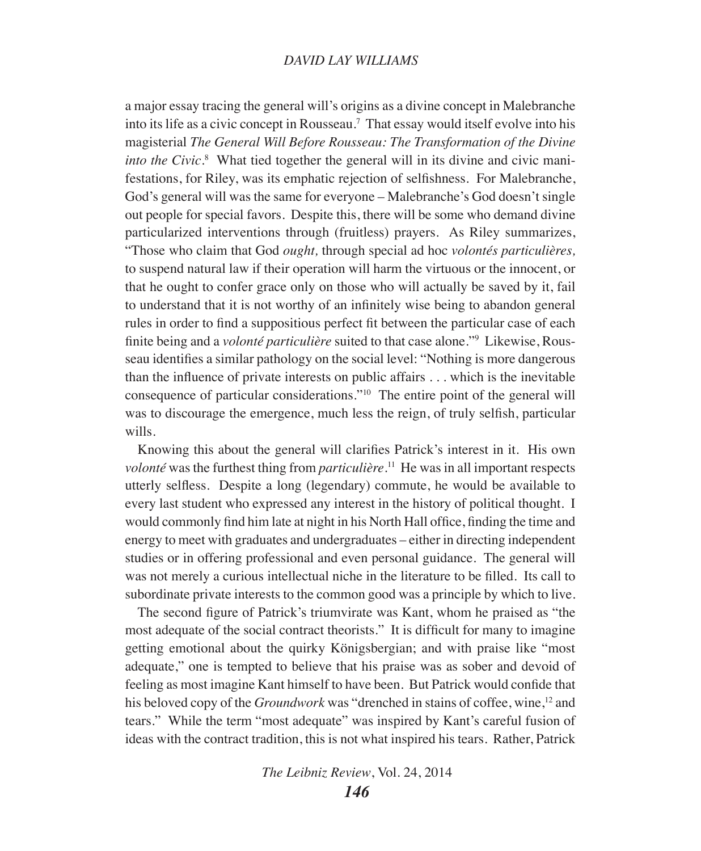## *DAVID LAY WILLIAMS*

a major essay tracing the general will's origins as a divine concept in Malebranche into its life as a civic concept in Rousseau.7 That essay would itself evolve into his magisterial *The General Will Before Rousseau: The Transformation of the Divine into the Civic*.<sup>8</sup> What tied together the general will in its divine and civic manifestations, for Riley, was its emphatic rejection of selfishness. For Malebranche, God's general will was the same for everyone – Malebranche's God doesn't single out people for special favors. Despite this, there will be some who demand divine particularized interventions through (fruitless) prayers. As Riley summarizes, "Those who claim that God *ought,* through special ad hoc *volontés particulières,*  to suspend natural law if their operation will harm the virtuous or the innocent, or that he ought to confer grace only on those who will actually be saved by it, fail to understand that it is not worthy of an infinitely wise being to abandon general rules in order to find a suppositious perfect fit between the particular case of each finite being and a *volonté particulière* suited to that case alone."9 Likewise, Rousseau identifies a similar pathology on the social level: "Nothing is more dangerous than the influence of private interests on public affairs . . . which is the inevitable consequence of particular considerations."10 The entire point of the general will was to discourage the emergence, much less the reign, of truly selfish, particular wills.

Knowing this about the general will clarifies Patrick's interest in it. His own *volonté* was the furthest thing from *particulière*.<sup>11</sup> He was in all important respects utterly selfless. Despite a long (legendary) commute, he would be available to every last student who expressed any interest in the history of political thought. I would commonly find him late at night in his North Hall office, finding the time and energy to meet with graduates and undergraduates – either in directing independent studies or in offering professional and even personal guidance. The general will was not merely a curious intellectual niche in the literature to be filled. Its call to subordinate private interests to the common good was a principle by which to live.

The second figure of Patrick's triumvirate was Kant, whom he praised as "the most adequate of the social contract theorists." It is difficult for many to imagine getting emotional about the quirky Königsbergian; and with praise like "most adequate," one is tempted to believe that his praise was as sober and devoid of feeling as most imagine Kant himself to have been. But Patrick would confide that his beloved copy of the *Groundwork* was "drenched in stains of coffee, wine,<sup>12</sup> and tears." While the term "most adequate" was inspired by Kant's careful fusion of ideas with the contract tradition, this is not what inspired his tears. Rather, Patrick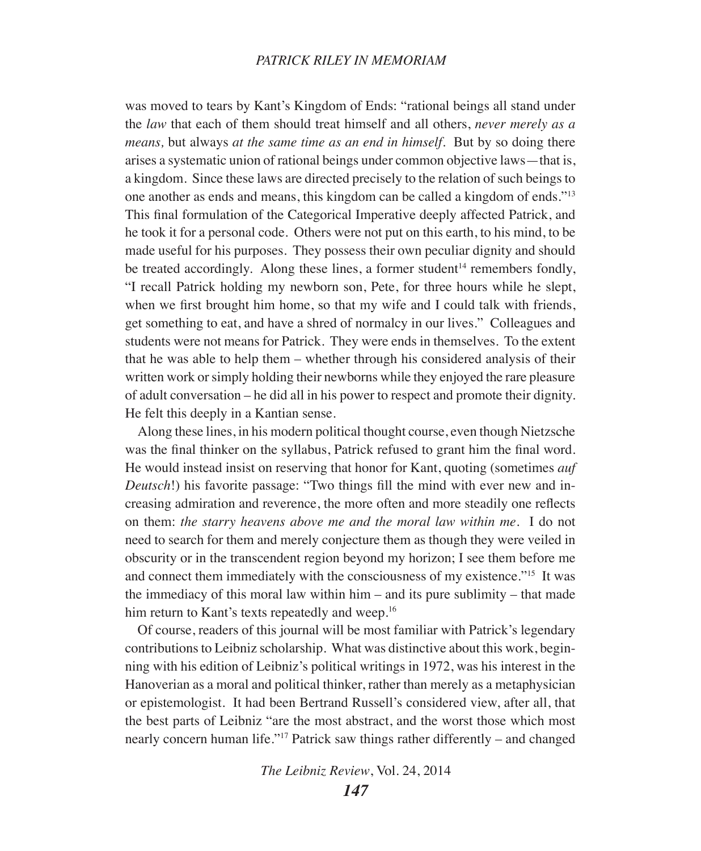## *PATRICK RILEY IN MEMORIAM*

was moved to tears by Kant's Kingdom of Ends: "rational beings all stand under the *law* that each of them should treat himself and all others, *never merely as a means,* but always *at the same time as an end in himself.* But by so doing there arises a systematic union of rational beings under common objective laws—that is, a kingdom. Since these laws are directed precisely to the relation of such beings to one another as ends and means, this kingdom can be called a kingdom of ends."13 This final formulation of the Categorical Imperative deeply affected Patrick, and he took it for a personal code. Others were not put on this earth, to his mind, to be made useful for his purposes. They possess their own peculiar dignity and should be treated accordingly. Along these lines, a former student $14$  remembers fondly, "I recall Patrick holding my newborn son, Pete, for three hours while he slept, when we first brought him home, so that my wife and I could talk with friends, get something to eat, and have a shred of normalcy in our lives." Colleagues and students were not means for Patrick. They were ends in themselves. To the extent that he was able to help them – whether through his considered analysis of their written work or simply holding their newborns while they enjoyed the rare pleasure of adult conversation – he did all in his power to respect and promote their dignity. He felt this deeply in a Kantian sense.

Along these lines, in his modern political thought course, even though Nietzsche was the final thinker on the syllabus, Patrick refused to grant him the final word. He would instead insist on reserving that honor for Kant, quoting (sometimes *auf Deutsch*!) his favorite passage: "Two things fill the mind with ever new and increasing admiration and reverence, the more often and more steadily one reflects on them: *the starry heavens above me and the moral law within me*. I do not need to search for them and merely conjecture them as though they were veiled in obscurity or in the transcendent region beyond my horizon; I see them before me and connect them immediately with the consciousness of my existence."15 It was the immediacy of this moral law within him – and its pure sublimity – that made him return to Kant's texts repeatedly and weep.<sup>16</sup>

Of course, readers of this journal will be most familiar with Patrick's legendary contributions to Leibniz scholarship. What was distinctive about this work, beginning with his edition of Leibniz's political writings in 1972, was his interest in the Hanoverian as a moral and political thinker, rather than merely as a metaphysician or epistemologist. It had been Bertrand Russell's considered view, after all, that the best parts of Leibniz "are the most abstract, and the worst those which most nearly concern human life."17 Patrick saw things rather differently – and changed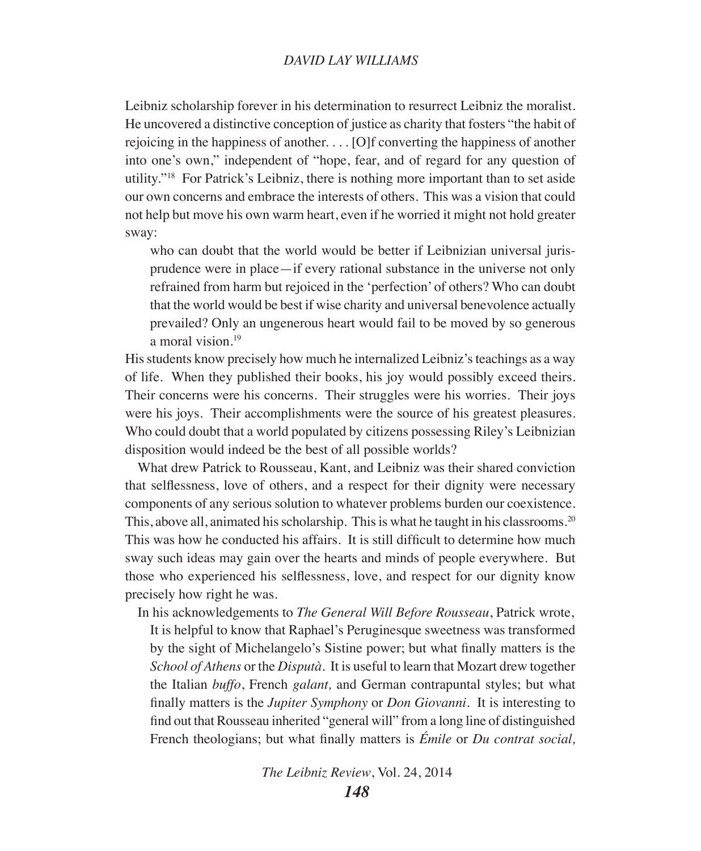## *DAVID LAY WILLIAMS*

Leibniz scholarship forever in his determination to resurrect Leibniz the moralist. He uncovered a distinctive conception of justice as charity that fosters "the habit of rejoicing in the happiness of another. . . . [O]f converting the happiness of another into one's own," independent of "hope, fear, and of regard for any question of utility."18 For Patrick's Leibniz, there is nothing more important than to set aside our own concerns and embrace the interests of others. This was a vision that could not help but move his own warm heart, even if he worried it might not hold greater sway:

who can doubt that the world would be better if Leibnizian universal jurisprudence were in place—if every rational substance in the universe not only refrained from harm but rejoiced in the 'perfection' of others? Who can doubt that the world would be best if wise charity and universal benevolence actually prevailed? Only an ungenerous heart would fail to be moved by so generous a moral vision.19

His students know precisely how much he internalized Leibniz's teachings as a way of life. When they published their books, his joy would possibly exceed theirs. Their concerns were his concerns. Their struggles were his worries. Their joys were his joys. Their accomplishments were the source of his greatest pleasures. Who could doubt that a world populated by citizens possessing Riley's Leibnizian disposition would indeed be the best of all possible worlds?

What drew Patrick to Rousseau, Kant, and Leibniz was their shared conviction that selflessness, love of others, and a respect for their dignity were necessary components of any serious solution to whatever problems burden our coexistence. This, above all, animated his scholarship. This is what he taught in his classrooms.20 This was how he conducted his affairs. It is still difficult to determine how much sway such ideas may gain over the hearts and minds of people everywhere. But those who experienced his selflessness, love, and respect for our dignity know precisely how right he was.

In his acknowledgements to *The General Will Before Rousseau*, Patrick wrote,

It is helpful to know that Raphael's Peruginesque sweetness was transformed by the sight of Michelangelo's Sistine power; but what finally matters is the *School of Athens* or the *Disputà.* It is useful to learn that Mozart drew together the Italian *buffo*, French *galant,* and German contrapuntal styles; but what finally matters is the *Jupiter Symphony* or *Don Giovanni*. It is interesting to find out that Rousseau inherited "general will" from a long line of distinguished French theologians; but what finally matters is *Émile* or *Du contrat social,*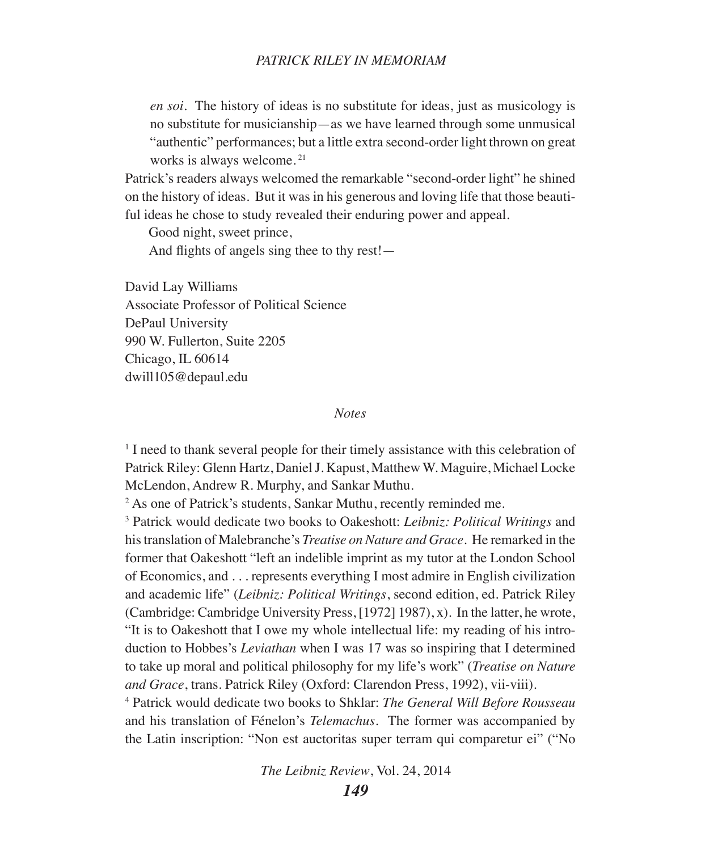*en soi*. The history of ideas is no substitute for ideas, just as musicology is no substitute for musicianship—as we have learned through some unmusical "authentic" performances; but a little extra second-order light thrown on great works is always welcome. 21

Patrick's readers always welcomed the remarkable "second-order light" he shined on the history of ideas. But it was in his generous and loving life that those beautiful ideas he chose to study revealed their enduring power and appeal.

Good night, sweet prince,

And flights of angels sing thee to thy rest!—

David Lay Williams Associate Professor of Political Science DePaul University 990 W. Fullerton, Suite 2205 Chicago, IL 60614 dwill105@depaul.edu

#### *Notes*

<sup>1</sup> I need to thank several people for their timely assistance with this celebration of Patrick Riley: Glenn Hartz, Daniel J. Kapust, Matthew W. Maguire, Michael Locke McLendon, Andrew R. Murphy, and Sankar Muthu.

2 As one of Patrick's students, Sankar Muthu, recently reminded me.

3 Patrick would dedicate two books to Oakeshott: *Leibniz: Political Writings* and his translation of Malebranche's *Treatise on Nature and Grace*. He remarked in the former that Oakeshott "left an indelible imprint as my tutor at the London School of Economics, and . . . represents everything I most admire in English civilization and academic life" (*Leibniz: Political Writings*, second edition, ed. Patrick Riley (Cambridge: Cambridge University Press, [1972] 1987), x). In the latter, he wrote, "It is to Oakeshott that I owe my whole intellectual life: my reading of his introduction to Hobbes's *Leviathan* when I was 17 was so inspiring that I determined to take up moral and political philosophy for my life's work" (*Treatise on Nature and Grace*, trans. Patrick Riley (Oxford: Clarendon Press, 1992), vii-viii).

4 Patrick would dedicate two books to Shklar: *The General Will Before Rousseau* and his translation of Fénelon's *Telemachus*. The former was accompanied by the Latin inscription: "Non est auctoritas super terram qui comparetur ei" ("No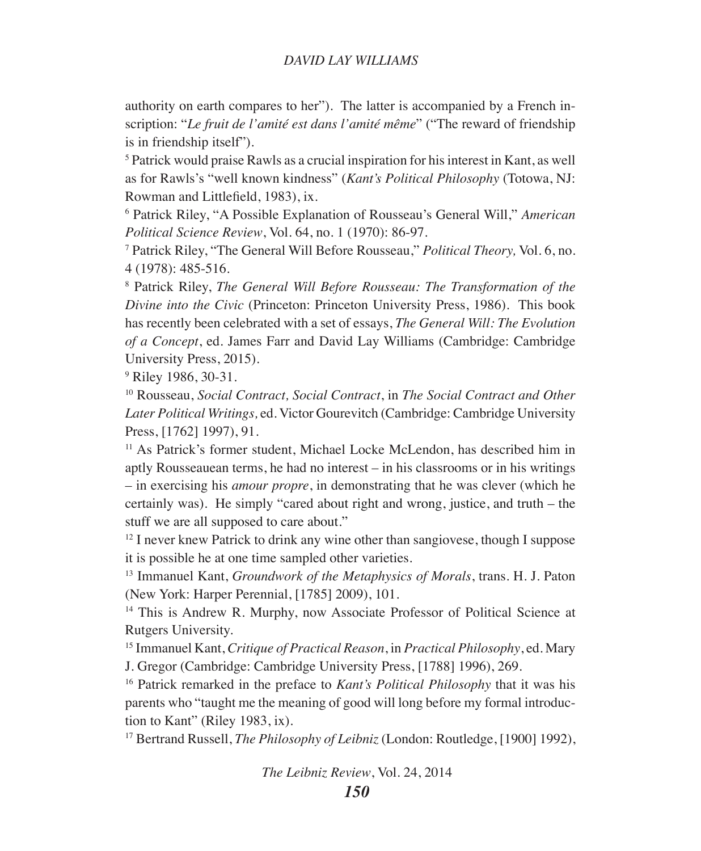## *DAVID LAY WILLIAMS*

authority on earth compares to her"). The latter is accompanied by a French inscription: "*Le fruit de l'amité est dans l'amité même*" ("The reward of friendship is in friendship itself").

<sup>5</sup> Patrick would praise Rawls as a crucial inspiration for his interest in Kant, as well as for Rawls's "well known kindness" (*Kant's Political Philosophy* (Totowa, NJ: Rowman and Littlefield, 1983), ix.

6 Patrick Riley, "A Possible Explanation of Rousseau's General Will," *American Political Science Review, Vol. 64, no. 1 (1970): 86-97.* 

 Patrick Riley, "The General Will Before Rousseau," *Political Theory,* Vol. 6, no. 4 (1978): 485-516.

8 Patrick Riley, *The General Will Before Rousseau: The Transformation of the Divine into the Civic* (Princeton: Princeton University Press, 1986). This book has recently been celebrated with a set of essays, *The General Will: The Evolution of a Concept*, ed. James Farr and David Lay Williams (Cambridge: Cambridge University Press, 2015).

9 Riley 1986, 30-31.

10 Rousseau, *Social Contract, Social Contract*, in *The Social Contract and Other Later Political Writings,* ed. Victor Gourevitch (Cambridge: Cambridge University Press, [1762] 1997), 91.

11 As Patrick's former student, Michael Locke McLendon, has described him in aptly Rousseauean terms, he had no interest – in his classrooms or in his writings – in exercising his *amour propre*, in demonstrating that he was clever (which he certainly was). He simply "cared about right and wrong, justice, and truth – the stuff we are all supposed to care about."

 $12$  I never knew Patrick to drink any wine other than sangiovese, though I suppose it is possible he at one time sampled other varieties.

13 Immanuel Kant, *Groundwork of the Metaphysics of Morals*, trans. H. J. Paton (New York: Harper Perennial, [1785] 2009), 101.

<sup>14</sup> This is Andrew R. Murphy, now Associate Professor of Political Science at Rutgers University.

15 Immanuel Kant, *Critique of Practical Reason*, in *Practical Philosophy*, ed. Mary J. Gregor (Cambridge: Cambridge University Press, [1788] 1996), 269.

16 Patrick remarked in the preface to *Kant's Political Philosophy* that it was his parents who "taught me the meaning of good will long before my formal introduction to Kant" (Riley 1983, ix).

17 Bertrand Russell, *The Philosophy of Leibniz* (London: Routledge, [1900] 1992),